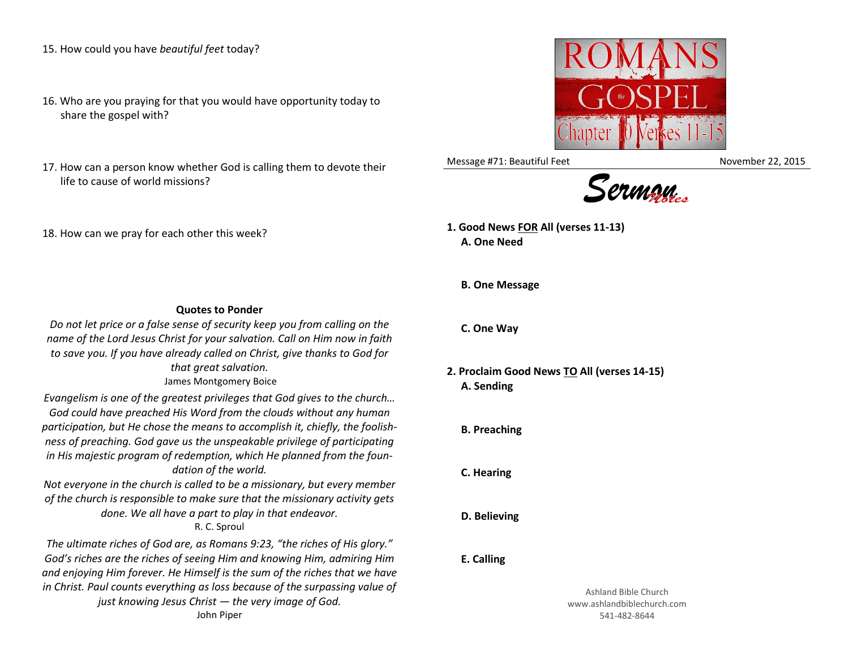15. How could you have *beautiful feet* today?

- 16. Who are you praying for that you would have opportunity today to share the gospel with?
- 17. How can a person know whether God is calling them to devote their life to cause of world missions?
- 18. How can we pray for each other this week?
- **Quotes to Ponder** *Do not let price or a false sense of security keep you from calling on the name of the Lord Jesus Christ for your salvation. Call on Him now in faith*

*to save you. If you have already called on Christ, give thanks to God for that great salvation.* James Montgomery Boice

*Evangelism is one of the greatest privileges that God gives to the church… God could have preached His Word from the clouds without any human participation, but He chose the means to accomplish it, chiefly, the foolishness of preaching. God gave us the unspeakable privilege of participating in His majestic program of redemption, which He planned from the foundation of the world.*

*Not everyone in the church is called to be a missionary, but every member of the church is responsible to make sure that the missionary activity gets done. We all have a part to play in that endeavor.*

R. C. Sproul

*The ultimate riches of God are, as Romans 9:23, "the riches of His glory." God's riches are the riches of seeing Him and knowing Him, admiring Him and enjoying Him forever. He Himself is the sum of the riches that we have in Christ. Paul counts everything as loss because of the surpassing value of just knowing Jesus Christ — the very image of God.*



Message #71: Beautiful Feet November 22, 2015



**1. Good News FOR All (verses 11-13) A. One Need**

**B. One Message**

**C. One Way**

**2. Proclaim Good News TO All (verses 14-15) A. Sending**

**B. Preaching**

**C. Hearing**

**D. Believing**

## **E. Calling**

Ashland Bible Church www.ashlandbiblechurch.com 541-482-8644